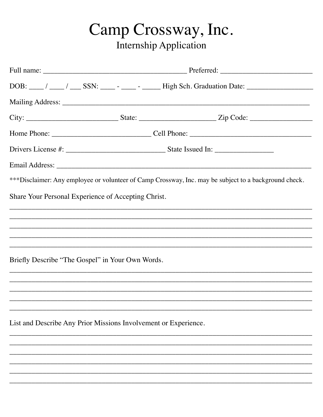## Camp Crossway, Inc. **Internship Application**

|                                                                                                                  | DOB: $\_\_\_\/$ $\_\_\_\$ $\_\_\$ SSN: $\_\_\_\$ - $\_\_\_\_\$ - $\_\_\_\$ High Sch. Graduation Date: |                                                                                                       |  |  |
|------------------------------------------------------------------------------------------------------------------|-------------------------------------------------------------------------------------------------------|-------------------------------------------------------------------------------------------------------|--|--|
|                                                                                                                  |                                                                                                       |                                                                                                       |  |  |
|                                                                                                                  |                                                                                                       |                                                                                                       |  |  |
|                                                                                                                  |                                                                                                       |                                                                                                       |  |  |
|                                                                                                                  |                                                                                                       |                                                                                                       |  |  |
|                                                                                                                  |                                                                                                       |                                                                                                       |  |  |
|                                                                                                                  |                                                                                                       | ***Disclaimer: Any employee or volunteer of Camp Crossway, Inc. may be subject to a background check. |  |  |
| Share Your Personal Experience of Accepting Christ.                                                              |                                                                                                       |                                                                                                       |  |  |
|                                                                                                                  |                                                                                                       |                                                                                                       |  |  |
|                                                                                                                  |                                                                                                       |                                                                                                       |  |  |
| and the control of the control of the control of the control of the control of the control of the control of the |                                                                                                       |                                                                                                       |  |  |
| Briefly Describe "The Gospel" in Your Own Words.                                                                 |                                                                                                       |                                                                                                       |  |  |
|                                                                                                                  |                                                                                                       |                                                                                                       |  |  |
|                                                                                                                  |                                                                                                       |                                                                                                       |  |  |
|                                                                                                                  |                                                                                                       |                                                                                                       |  |  |
| List and Describe Any Prior Missions Involvement or Experience.                                                  |                                                                                                       |                                                                                                       |  |  |
|                                                                                                                  |                                                                                                       |                                                                                                       |  |  |
|                                                                                                                  |                                                                                                       |                                                                                                       |  |  |
|                                                                                                                  |                                                                                                       |                                                                                                       |  |  |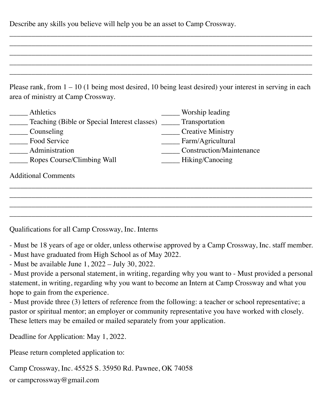| Describe any skills you believe will help you be an asset to Camp Crossway. |  |  |  |  |
|-----------------------------------------------------------------------------|--|--|--|--|
|-----------------------------------------------------------------------------|--|--|--|--|

Please rank, from  $1 - 10$  (1 being most desired, 10 being least desired) your interest in serving in each area of ministry at Camp Crossway.

\_\_\_\_\_\_\_\_\_\_\_\_\_\_\_\_\_\_\_\_\_\_\_\_\_\_\_\_\_\_\_\_\_\_\_\_\_\_\_\_\_\_\_\_\_\_\_\_\_\_\_\_\_\_\_\_\_\_\_\_\_\_\_\_\_\_\_\_\_\_\_\_\_\_\_\_\_\_\_\_\_\_ \_\_\_\_\_\_\_\_\_\_\_\_\_\_\_\_\_\_\_\_\_\_\_\_\_\_\_\_\_\_\_\_\_\_\_\_\_\_\_\_\_\_\_\_\_\_\_\_\_\_\_\_\_\_\_\_\_\_\_\_\_\_\_\_\_\_\_\_\_\_\_\_\_\_\_\_\_\_\_\_\_\_ \_\_\_\_\_\_\_\_\_\_\_\_\_\_\_\_\_\_\_\_\_\_\_\_\_\_\_\_\_\_\_\_\_\_\_\_\_\_\_\_\_\_\_\_\_\_\_\_\_\_\_\_\_\_\_\_\_\_\_\_\_\_\_\_\_\_\_\_\_\_\_\_\_\_\_\_\_\_\_\_\_\_ \_\_\_\_\_\_\_\_\_\_\_\_\_\_\_\_\_\_\_\_\_\_\_\_\_\_\_\_\_\_\_\_\_\_\_\_\_\_\_\_\_\_\_\_\_\_\_\_\_\_\_\_\_\_\_\_\_\_\_\_\_\_\_\_\_\_\_\_\_\_\_\_\_\_\_\_\_\_\_\_\_\_ \_\_\_\_\_\_\_\_\_\_\_\_\_\_\_\_\_\_\_\_\_\_\_\_\_\_\_\_\_\_\_\_\_\_\_\_\_\_\_\_\_\_\_\_\_\_\_\_\_\_\_\_\_\_\_\_\_\_\_\_\_\_\_\_\_\_\_\_\_\_\_\_\_\_\_\_\_\_\_\_\_\_

| Athletics                                    | Worship leading                 |
|----------------------------------------------|---------------------------------|
| Teaching (Bible or Special Interest classes) | Transportation                  |
| Counseling                                   | <b>Creative Ministry</b>        |
| Food Service                                 | Farm/Agricultural               |
| Administration                               | <b>Construction/Maintenance</b> |
| Ropes Course/Climbing Wall                   | Hiking/Canoeing                 |
|                                              |                                 |

Additional Comments

Qualifications for all Camp Crossway, Inc. Interns

- Must be 18 years of age or older, unless otherwise approved by a Camp Crossway, Inc. staff member.

\_\_\_\_\_\_\_\_\_\_\_\_\_\_\_\_\_\_\_\_\_\_\_\_\_\_\_\_\_\_\_\_\_\_\_\_\_\_\_\_\_\_\_\_\_\_\_\_\_\_\_\_\_\_\_\_\_\_\_\_\_\_\_\_\_\_\_\_\_\_\_\_\_\_\_\_\_\_\_\_\_\_ \_\_\_\_\_\_\_\_\_\_\_\_\_\_\_\_\_\_\_\_\_\_\_\_\_\_\_\_\_\_\_\_\_\_\_\_\_\_\_\_\_\_\_\_\_\_\_\_\_\_\_\_\_\_\_\_\_\_\_\_\_\_\_\_\_\_\_\_\_\_\_\_\_\_\_\_\_\_\_\_\_\_ \_\_\_\_\_\_\_\_\_\_\_\_\_\_\_\_\_\_\_\_\_\_\_\_\_\_\_\_\_\_\_\_\_\_\_\_\_\_\_\_\_\_\_\_\_\_\_\_\_\_\_\_\_\_\_\_\_\_\_\_\_\_\_\_\_\_\_\_\_\_\_\_\_\_\_\_\_\_\_\_\_\_ \_\_\_\_\_\_\_\_\_\_\_\_\_\_\_\_\_\_\_\_\_\_\_\_\_\_\_\_\_\_\_\_\_\_\_\_\_\_\_\_\_\_\_\_\_\_\_\_\_\_\_\_\_\_\_\_\_\_\_\_\_\_\_\_\_\_\_\_\_\_\_\_\_\_\_\_\_\_\_\_\_\_

- Must have graduated from High School as of May 2022.

- Must be available June 1, 2022 – July 30, 2022.

- Must provide a personal statement, in writing, regarding why you want to - Must provided a personal statement, in writing, regarding why you want to become an Intern at Camp Crossway and what you hope to gain from the experience.

- Must provide three (3) letters of reference from the following: a teacher or school representative; a pastor or spiritual mentor; an employer or community representative you have worked with closely. These letters may be emailed or mailed separately from your application.

Deadline for Application: May 1, 2022.

Please return completed application to:

Camp Crossway, Inc. 45525 S. 35950 Rd. Pawnee, OK 74058

or campcrossway@gmail.com